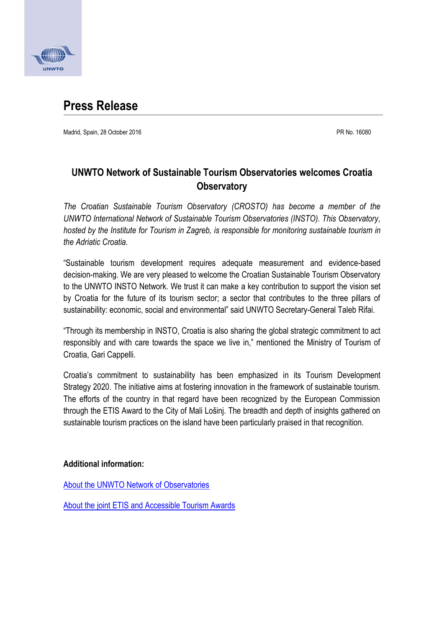

# **Press Release**

Madrid, Spain, 28 October 2016 **PR No. 16080** PR No. 16080

# **UNWTO Network of Sustainable Tourism Observatories welcomes Croatia Observatory**

*The Croatian Sustainable Tourism Observatory (CROSTO) has become a member of the UNWTO International Network of Sustainable Tourism Observatories (INSTO). This Observatory, hosted by the Institute for Tourism in Zagreb, is responsible for monitoring sustainable tourism in the Adriatic Croatia.*

"Sustainable tourism development requires adequate measurement and evidence-based decision-making. We are very pleased to welcome the Croatian Sustainable Tourism Observatory to the UNWTO INSTO Network. We trust it can make a key contribution to support the vision set by Croatia for the future of its tourism sector; a sector that contributes to the three pillars of sustainability: economic, social and environmental" said UNWTO Secretary-General Taleb Rifai.

"Through its membership in INSTO, Croatia is also sharing the global strategic commitment to act responsibly and with care towards the space we live in," mentioned the Ministry of Tourism of Croatia, Gari Cappelli.

Croatia's commitment to sustainability has been emphasized in its Tourism Development Strategy 2020. The initiative aims at fostering innovation in the framework of sustainable tourism. The efforts of the country in that regard have been recognized by the European Commission through the ETIS Award to the City of Mali Lošinj. The breadth and depth of insights gathered on sustainable tourism practices on the island have been particularly praised in that recognition.

#### **Additional information:**

[About the UNWTO Network of Observatories](http://sdt.unwto.org/insto-about)

About the [joint ETIS and Accessible Tourism Awards](http://ec.europa.eu/growth/tools-databases/newsroom/cf/itemdetail.cfm?item_type=251&lang=en&item_id=8731)